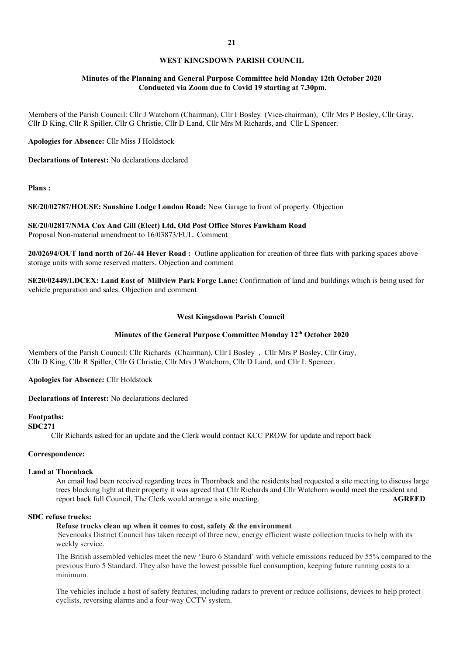## **WEST KINGSDOWN PARISH COUNCIL**

# **Minutes of the Planning and General Purpose Committee held Monday 12th October 2020 Conducted via Zoom due to Covid 19 starting at 7.30pm.**

Members of the Parish Council: Cllr J Watchorn (Chairman), Cllr I Bosley (Vice-chairman), Cllr Mrs P Bosley, Cllr Gray, Cllr D King, Cllr R Spiller, Cllr G Christie, Cllr D Land, Cllr Mrs M Richards, and Cllr L Spencer.

**Apologies for Absence:** Cllr Miss J Holdstock

**Declarations of Interest:** No declarations declared

**Plans :**

**SE/20/02787/HOUSE: Sunshine Lodge London Road:** New Garage to front of property. Objection

**SE/20/02817/NMA Cox And Gill (Elect) Ltd, Old Post Office Stores Fawkham Road** Proposal Non-material amendment to 16/03873/FUL. Comment

**20/02694/OUT land north of 26/-44 Hever Road :** Outline application for creation of three flats with parking spaces above storage units with some reserved matters. Objection and comment

**SE20/02449/LDCEX: Land East of Millview Park Forge Lane:** Confirmation of land and buildings which is being used for vehicle preparation and sales. Objection and comment

#### **West Kingsdown Parish Council**

# **Minutes of the General Purpose Committee Monday 12th October 2020**

Members of the Parish Council: Cllr Richards (Chairman), Cllr I Bosley , Cllr Mrs P Bosley, Cllr Gray, Cllr D King, Cllr R Spiller, Cllr G Christie, Cllr Mrs J Watchorn, Cllr D Land, and Cllr L Spencer.

**Apologies for Absence:** Cllr Holdstock

**Declarations of Interest:** No declarations declared

# **Footpaths:**

**SDC271**

Cllr Richards asked for an update and the Clerk would contact KCC PROW for update and report back

## **Correspondence:**

## **Land at Thornback**

An email had been received regarding trees in Thornback and the residents had requested a site meeting to discuss large trees blocking light at their property it was agreed that Cllr Richards and Cllr Watchorn would meet the resident and report back full Council, The Clerk would arrange a site meeting. **AGREED**

#### **SDC refuse trucks:**

## **Refuse trucks clean up when it comes to cost, safety & the environment**

Sevenoaks District Council has taken receipt of three new, energy efficient waste collection trucks to help with its weekly service.

The British assembled vehicles meet the new 'Euro 6 Standard' with vehicle emissions reduced by 55% compared to the previous Euro 5 Standard. They also have the lowest possible fuel consumption, keeping future running costs to a minimum.

The vehicles include a host of safety features, including radars to prevent or reduce collisions, devices to help protect cyclists, reversing alarms and a four-way CCTV system.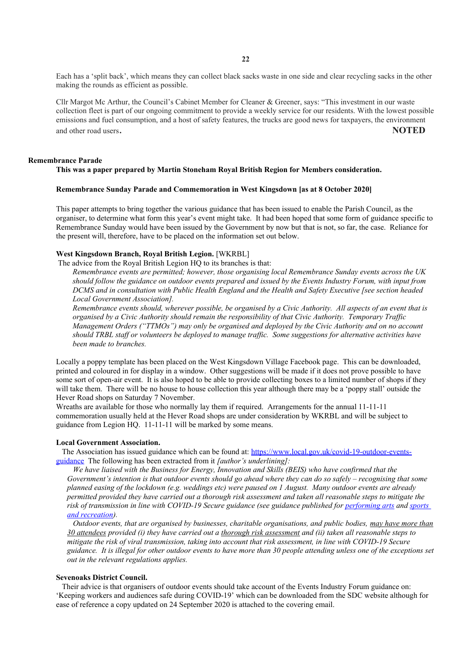**22**

Each has a 'split back', which means they can collect black sacks waste in one side and clear recycling sacks in the other making the rounds as efficient as possible.

Cllr Margot Mc Arthur, the Council's Cabinet Member for Cleaner & Greener, says: "This investment in our waste collection fleet is part of our ongoing commitment to provide a weekly service for our residents. With the lowest possible emissions and fuel consumption, and a host of safety features, the trucks are good news for taxpayers, the environment and other road users. **NOTED**

## **Remembrance Parade**

#### **This was a paper prepared by Martin Stoneham Royal British Region for Members consideration.**

### **Remembrance Sunday Parade and Commemoration in West Kingsdown [as at 8 October 2020]**

This paper attempts to bring together the various guidance that has been issued to enable the Parish Council, as the organiser, to determine what form this year's event might take. It had been hoped that some form of guidance specific to Remembrance Sunday would have been issued by the Government by now but that is not, so far, the case. Reliance for the present will, therefore, have to be placed on the information set out below.

## **West Kingsdown Branch, Royal British Legion.** [WKRBL]

The advice from the Royal British Legion HQ to its branches is that:

*Remembrance events are permitted; however, those organising local Remembrance Sunday events across the UK should follow the guidance on outdoor events prepared and issued by the Events Industry Forum, with input from DCMS and in consultation with Public Health England and the Health and Safety Executive [see section headed Local Government Association].*

*Remembrance events should, wherever possible, be organised by a Civic Authority. All aspects of an event that is organised by a Civic Authority should remain the responsibility of that Civic Authority. Temporary Traffic Management Orders ("TTMOs") may only be organised and deployed by the Civic Authority and on no account should TRBL staff or volunteers be deployed to manage traffic. Some suggestions for alternative activities have been made to branches.* 

Locally a poppy template has been placed on the West Kingsdown Village Facebook page. This can be downloaded, printed and coloured in for display in a window. Other suggestions will be made if it does not prove possible to have some sort of open-air event. It is also hoped to be able to provide collecting boxes to a limited number of shops if they will take them. There will be no house to house collection this year although there may be a 'poppy stall' outside the Hever Road shops on Saturday 7 November.

Wreaths are available for those who normally lay them if required. Arrangements for the annual 11-11-11 commemoration usually held at the Hever Road shops are under consideration by WKRBL and will be subject to guidance from Legion HQ. 11-11-11 will be marked by some means.

### **Local Government Association.**

 The Association has issued guidance which can be found at: [https://www.local.gov.uk/covid-19-outdoor-events](https://www.local.gov.uk/covid-19-outdoor-events-guidance)[guidance](https://www.local.gov.uk/covid-19-outdoor-events-guidance) The following has been extracted from it *[author's underlining]:*

 *We have liaised with the Business for Energy, Innovation and Skills (BEIS) who have confirmed that the Government's intention is that outdoor events should go ahead where they can do so safely – recognising that some planned easing of the lockdown (e.g. weddings etc) were paused on 1 August. Many outdoor events are already permitted provided they have carried out a thorough risk assessment and taken all reasonable steps to mitigate the risk of transmission in line with COVID-19 Secure guidance (see guidance published for [performing arts](https://www.gov.uk/guidance/working-safely-during-coronavirus-covid-19/performing-arts) and [sports](https://www.gov.uk/government/publications/coronavirus-covid-19-guidance-on-phased-return-of-sport-and-recreation)  [and recreation\)](https://www.gov.uk/government/publications/coronavirus-covid-19-guidance-on-phased-return-of-sport-and-recreation).* 

 *Outdoor events, that are organised by businesses, charitable organisations, and public bodies, may have more than 30 attendees provided (i) they have carried out a thorough risk assessment and (ii) taken all reasonable steps to mitigate the risk of viral transmission, taking into account that risk assessment, in line with COVID-19 Secure guidance. It is illegal for other outdoor events to have more than 30 people attending unless one of the exceptions set out in the relevant regulations applies.*

### **Sevenoaks District Council.**

 Their advice is that organisers of outdoor events should take account of the Events Industry Forum guidance on: 'Keeping workers and audiences safe during COVID-19' which can be downloaded from the SDC website although for ease of reference a copy updated on 24 September 2020 is attached to the covering email.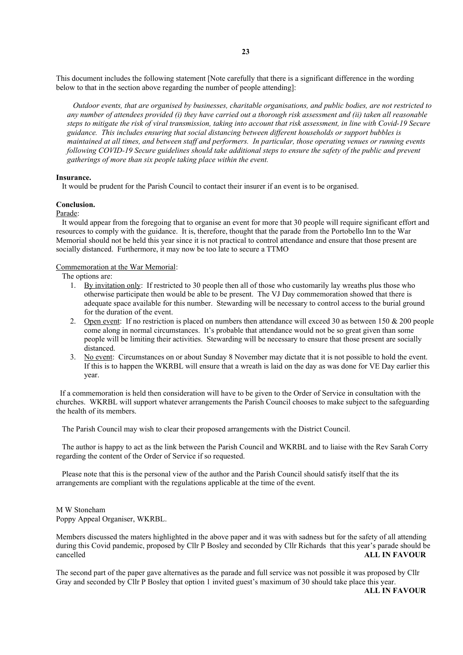This document includes the following statement [Note carefully that there is a significant difference in the wording below to that in the section above regarding the number of people attending]:

 *Outdoor events, that are organised by businesses, charitable organisations, and public bodies, are not restricted to any number of attendees provided (i) they have carried out a thorough risk assessment and (ii) taken all reasonable steps to mitigate the risk of viral transmission, taking into account that risk assessment, in line with Covid-19 Secure guidance. This includes ensuring that social distancing between different households or support bubbles is maintained at all times, and between staff and performers. In particular, those operating venues or running events following COVID-19 Secure guidelines should take additional steps to ensure the safety of the public and prevent gatherings of more than six people taking place within the event.*

#### **Insurance.**

It would be prudent for the Parish Council to contact their insurer if an event is to be organised.

## **Conclusion.**

Parade:

 It would appear from the foregoing that to organise an event for more that 30 people will require significant effort and resources to comply with the guidance. It is, therefore, thought that the parade from the Portobello Inn to the War Memorial should not be held this year since it is not practical to control attendance and ensure that those present are socially distanced. Furthermore, it may now be too late to secure a TTMO

## Commemoration at the War Memorial:

The options are:

- 1. By invitation only: If restricted to 30 people then all of those who customarily lay wreaths plus those who otherwise participate then would be able to be present. The VJ Day commemoration showed that there is adequate space available for this number. Stewarding will be necessary to control access to the burial ground for the duration of the event.
- 2. Open event: If no restriction is placed on numbers then attendance will exceed 30 as between 150 & 200 people come along in normal circumstances. It's probable that attendance would not be so great given than some people will be limiting their activities. Stewarding will be necessary to ensure that those present are socially distanced.
- 3. No event: Circumstances on or about Sunday 8 November may dictate that it is not possible to hold the event. If this is to happen the WKRBL will ensure that a wreath is laid on the day as was done for VE Day earlier this year.

 If a commemoration is held then consideration will have to be given to the Order of Service in consultation with the churches. WKRBL will support whatever arrangements the Parish Council chooses to make subject to the safeguarding the health of its members.

The Parish Council may wish to clear their proposed arrangements with the District Council.

 The author is happy to act as the link between the Parish Council and WKRBL and to liaise with the Rev Sarah Corry regarding the content of the Order of Service if so requested.

 Please note that this is the personal view of the author and the Parish Council should satisfy itself that the its arrangements are compliant with the regulations applicable at the time of the event.

### M W Stoneham Poppy Appeal Organiser, WKRBL.

Members discussed the maters highlighted in the above paper and it was with sadness but for the safety of all attending during this Covid pandemic, proposed by Cllr P Bosley and seconded by Cllr Richards that this year's parade should be cancelled **ALL IN FAVOUR**

The second part of the paper gave alternatives as the parade and full service was not possible it was proposed by Cllr Gray and seconded by Cllr P Bosley that option 1 invited guest's maximum of 30 should take place this year.

**ALL IN FAVOUR**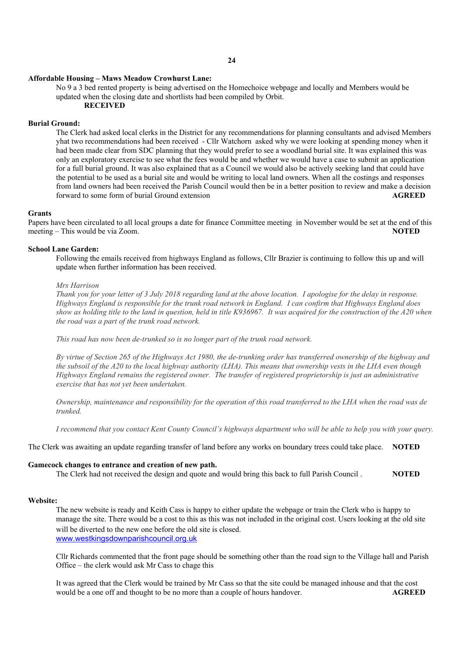#### **Affordable Housing – Maws Meadow Crowhurst Lane:**

No 9 a 3 bed rented property is being advertised on the Homechoice webpage and locally and Members would be updated when the closing date and shortlists had been compiled by Orbit.

# **RECEIVED**

# **Burial Ground:**

The Clerk had asked local clerks in the District for any recommendations for planning consultants and advised Members yhat two recommendations had been received - Cllr Watchorn asked why we were looking at spending money when it had been made clear from SDC planning that they would prefer to see a woodland burial site. It was explained this was only an exploratory exercise to see what the fees would be and whether we would have a case to submit an application for a full burial ground. It was also explained that as a Council we would also be actively seeking land that could have the potential to be used as a burial site and would be writing to local land owners. When all the costings and responses from land owners had been received the Parish Council would then be in a better position to review and make a decision forward to some form of burial Ground extension **AGREED**

#### **Grants**

Papers have been circulated to all local groups a date for finance Committee meeting in November would be set at the end of this meeting – This would be via Zoom. **NOTED** 

#### **School Lane Garden:**

Following the emails received from highways England as follows, Cllr Brazier is continuing to follow this up and will update when further information has been received.

## *Mrs Harrison*

*Thank you for your letter of 3 July 2018 regarding land at the above location. I apologise for the delay in response. Highways England is responsible for the trunk road network in England. I can confirm that Highways England does show as holding title to the land in question, held in title K936967. It was acquired for the construction of the A20 when the road was a part of the trunk road network.*

*This road has now been de-trunked so is no longer part of the trunk road network.*

*By virtue of Section 265 of the Highways Act 1980, the de-trunking order has transferred ownership of the highway and the subsoil of the A20 to the local highway authority (LHA). This means that ownership vests in the LHA even though Highways England remains the registered owner. The transfer of registered proprietorship is just an administrative exercise that has not yet been undertaken.*

*Ownership, maintenance and responsibility for the operation of this road transferred to the LHA when the road was de trunked.*

*I recommend that you contact Kent County Council's highways department who will be able to help you with your query.*

The Clerk was awaiting an update regarding transfer of land before any works on boundary trees could take place. **NOTED**

## **Gamecock changes to entrance and creation of new path.**

The Clerk had not received the design and quote and would bring this back to full Parish Council . **NOTED**

## **Website:**

The new website is ready and Keith Cass is happy to either update the webpage or train the Clerk who is happy to manage the site. There would be a cost to this as this was not included in the original cost. Users looking at the old site will be diverted to the new one before the old site is closed. [www.westkingsdownparishcouncil.org.uk](http://www.westkingsdownparishcouncil.org.uk/)

Cllr Richards commented that the front page should be something other than the road sign to the Village hall and Parish Office – the clerk would ask Mr Cass to chage this

It was agreed that the Clerk would be trained by Mr Cass so that the site could be managed inhouse and that the cost would be a one off and thought to be no more than a couple of hours handover. **AGREED**